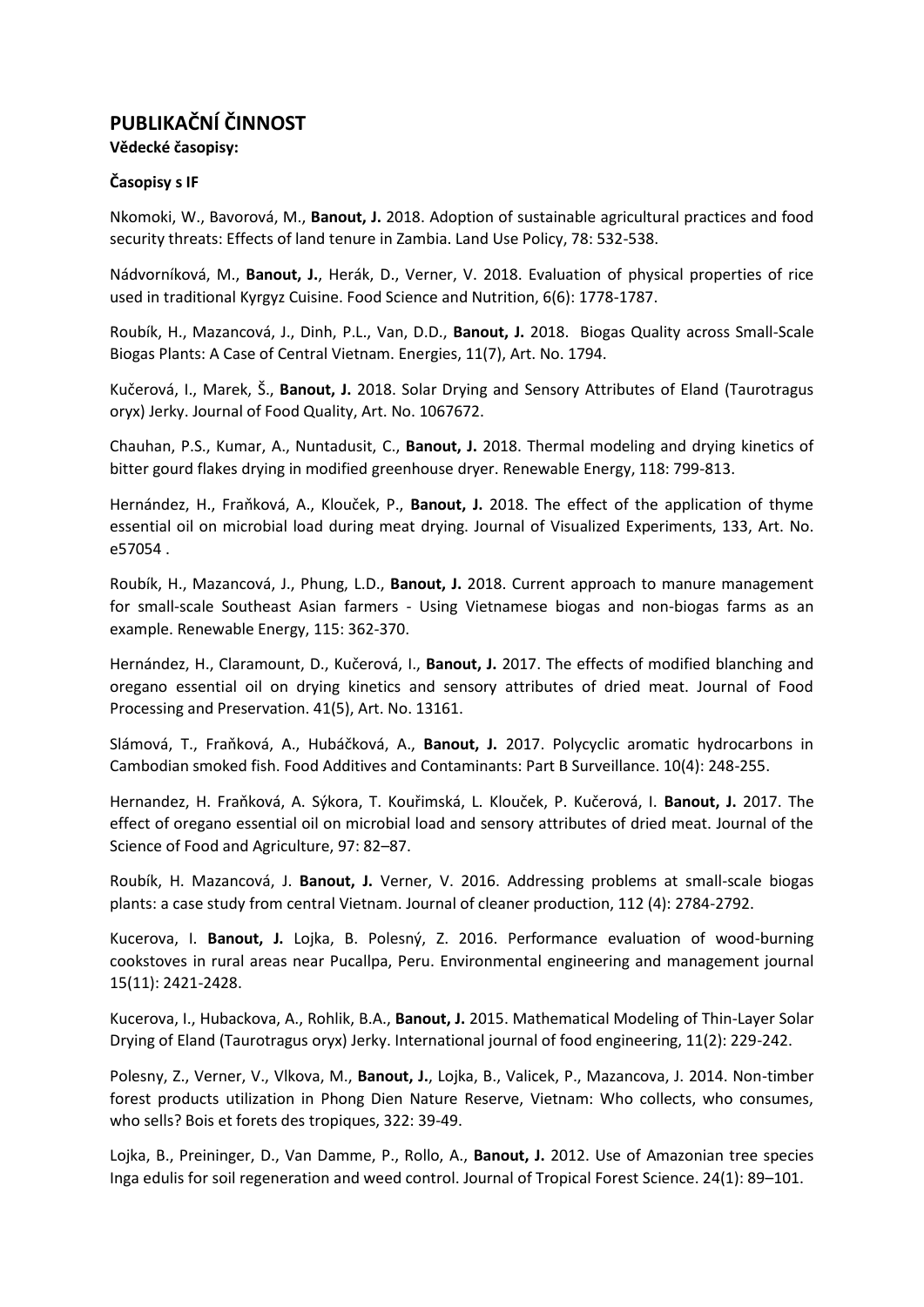# **PUBLIKAČNÍ ČINNOST**

**Vědecké časopisy:**

# **Časopisy s IF**

Nkomoki, W., Bavorová, M., **Banout, J.** 2018. Adoption of sustainable agricultural practices and food security threats: Effects of land tenure in Zambia. Land Use Policy, 78: 532-538.

Nádvorníková, M., **Banout, J.**, Herák, D., Verner, V. 2018. Evaluation of physical properties of rice used in traditional Kyrgyz Cuisine. Food Science and Nutrition, 6(6): 1778-1787.

Roubík, H., Mazancová, J., Dinh, P.L., Van, D.D., **Banout, J.** 2018. Biogas Quality across Small-Scale Biogas Plants: A Case of Central Vietnam. Energies, 11(7), Art. No. 1794.

Kučerová, I., Marek, Š., **Banout, J.** 2018. Solar Drying and Sensory Attributes of Eland (Taurotragus oryx) Jerky. Journal of Food Quality, Art. No. 1067672.

Chauhan, P.S., Kumar, A., Nuntadusit, C., **Banout, J.** 2018. Thermal modeling and drying kinetics of bitter gourd flakes drying in modified greenhouse dryer. Renewable Energy, 118: 799-813.

Hernández, H., Fraňková, A., Klouček, P., **Banout, J.** 2018. The effect of the application of thyme essential oil on microbial load during meat drying. Journal of Visualized Experiments, 133, Art. No. e57054 .

Roubík, H., Mazancová, J., Phung, L.D., **Banout, J.** 2018. Current approach to manure management for small-scale Southeast Asian farmers - Using Vietnamese biogas and non-biogas farms as an example. Renewable Energy, 115: 362-370.

Hernández, H., Claramount, D., Kučerová, I., **Banout, J.** 2017. The effects of modified blanching and oregano essential oil on drying kinetics and sensory attributes of dried meat. Journal of Food Processing and Preservation. 41(5), Art. No. 13161.

Slámová, T., Fraňková, A., Hubáčková, A., **Banout, J.** 2017. Polycyclic aromatic hydrocarbons in Cambodian smoked fish. Food Additives and Contaminants: Part B Surveillance. 10(4): 248-255.

Hernandez, H. Fraňková, A. Sýkora, T. Kouřimská, L. Klouček, P. Kučerová, I. **Banout, J.** 2017. The effect of oregano essential oil on microbial load and sensory attributes of dried meat. Journal of the Science of Food and Agriculture, 97: 82–87.

Roubík, H. Mazancová, J. **Banout, J.** Verner, V. 2016. Addressing problems at small-scale biogas plants: a case study from central Vietnam. Journal of cleaner production, 112 (4): 2784-2792.

Kucerova, I. **Banout, J.** Lojka, B. Polesný, Z. 2016. Performance evaluation of wood-burning cookstoves in rural areas near Pucallpa, Peru. Environmental engineering and management journal 15(11): 2421-2428.

Kucerova, I., Hubackova, A., Rohlik, B.A., **Banout, J.** 2015. Mathematical Modeling of Thin-Layer Solar Drying of Eland (Taurotragus oryx) Jerky. International journal of food engineering, 11(2): 229-242.

Polesny, Z., Verner, V., Vlkova, M., **Banout, J.**, Lojka, B., Valicek, P., Mazancova, J. 2014. Non-timber forest products utilization in Phong Dien Nature Reserve, Vietnam: Who collects, who consumes, who sells? Bois et forets des tropiques, 322: 39-49.

Lojka, B., Preininger, D., Van Damme, P., Rollo, A., **Banout, J.** 2012. Use of Amazonian tree species Inga edulis for soil regeneration and weed control. Journal of Tropical Forest Science. 24(1): 89–101.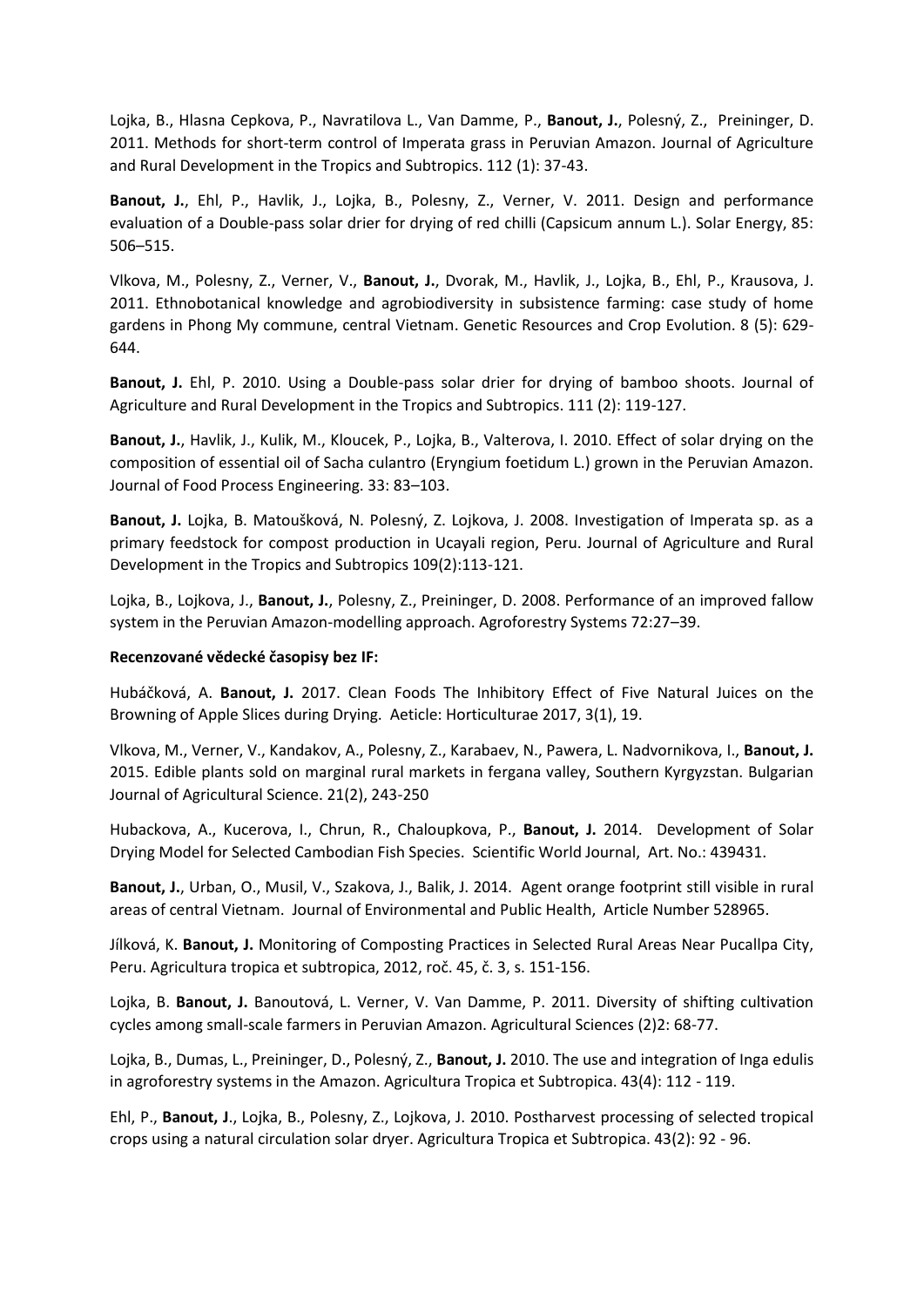Lojka, B., Hlasna Cepkova, P., Navratilova L., Van Damme, P., **Banout, J.**, Polesný, Z., Preininger, D. 2011. Methods for short-term control of Imperata grass in Peruvian Amazon. Journal of Agriculture and Rural Development in the Tropics and Subtropics. 112 (1): 37-43.

**Banout, J.**, Ehl, P., Havlik, J., Lojka, B., Polesny, Z., Verner, V. 2011. Design and performance evaluation of a Double-pass solar drier for drying of red chilli (Capsicum annum L.). Solar Energy, 85: 506–515.

Vlkova, M., Polesny, Z., Verner, V., **Banout, J.**, Dvorak, M., Havlik, J., Lojka, B., Ehl, P., Krausova, J. 2011. Ethnobotanical knowledge and agrobiodiversity in subsistence farming: case study of home gardens in Phong My commune, central Vietnam. Genetic Resources and Crop Evolution. 8 (5): 629- 644.

**Banout, J.** Ehl, P. 2010. Using a Double-pass solar drier for drying of bamboo shoots. Journal of Agriculture and Rural Development in the Tropics and Subtropics. 111 (2): 119-127.

**Banout, J.**, Havlik, J., Kulik, M., Kloucek, P., Lojka, B., Valterova, I. 2010. Effect of solar drying on the composition of essential oil of Sacha culantro (Eryngium foetidum L.) grown in the Peruvian Amazon. Journal of Food Process Engineering. 33: 83–103.

**Banout, J.** Lojka, B. Matoušková, N. Polesný, Z. Lojkova, J. 2008. Investigation of Imperata sp. as a primary feedstock for compost production in Ucayali region, Peru. Journal of Agriculture and Rural Development in the Tropics and Subtropics 109(2):113-121.

Lojka, B., Lojkova, J., **Banout, J.**, Polesny, Z., Preininger, D. 2008. Performance of an improved fallow system in the Peruvian Amazon-modelling approach. Agroforestry Systems 72:27–39.

# **Recenzované vědecké časopisy bez IF:**

Hubáčková, A. **Banout, J.** 2017. Clean Foods The Inhibitory Effect of Five Natural Juices on the Browning of Apple Slices during Drying. Aeticle: Horticulturae 2017, 3(1), 19.

Vlkova, M., Verner, V., Kandakov, A., Polesny, Z., Karabaev, N., Pawera, L. Nadvornikova, I., **Banout, J.** 2015. Edible plants sold on marginal rural markets in fergana valley, Southern Kyrgyzstan. Bulgarian Journal of Agricultural Science. 21(2), 243-250

Hubackova, A., Kucerova, I., Chrun, R., Chaloupkova, P., **Banout, J.** 2014. Development of Solar Drying Model for Selected Cambodian Fish Species. Scientific World Journal, Art. No.: 439431.

**Banout, J.**, Urban, O., Musil, V., Szakova, J., Balik, J. 2014. Agent orange footprint still visible in rural areas of central Vietnam. Journal of Environmental and Public Health, Article Number 528965.

Jílková, K. **Banout, J.** Monitoring of Composting Practices in Selected Rural Areas Near Pucallpa City, Peru. Agricultura tropica et subtropica, 2012, roč. 45, č. 3, s. 151-156.

Lojka, B. **Banout, J.** Banoutová, L. Verner, V. Van Damme, P. 2011. Diversity of shifting cultivation cycles among small-scale farmers in Peruvian Amazon. Agricultural Sciences (2)2: 68-77.

Lojka, B., Dumas, L., Preininger, D., Polesný, Z., **Banout, J.** 2010. The use and integration of Inga edulis in agroforestry systems in the Amazon. Agricultura Tropica et Subtropica. 43(4): 112 - 119.

Ehl, P., **Banout, J**., Lojka, B., Polesny, Z., Lojkova, J. 2010. Postharvest processing of selected tropical crops using a natural circulation solar dryer. Agricultura Tropica et Subtropica. 43(2): 92 - 96.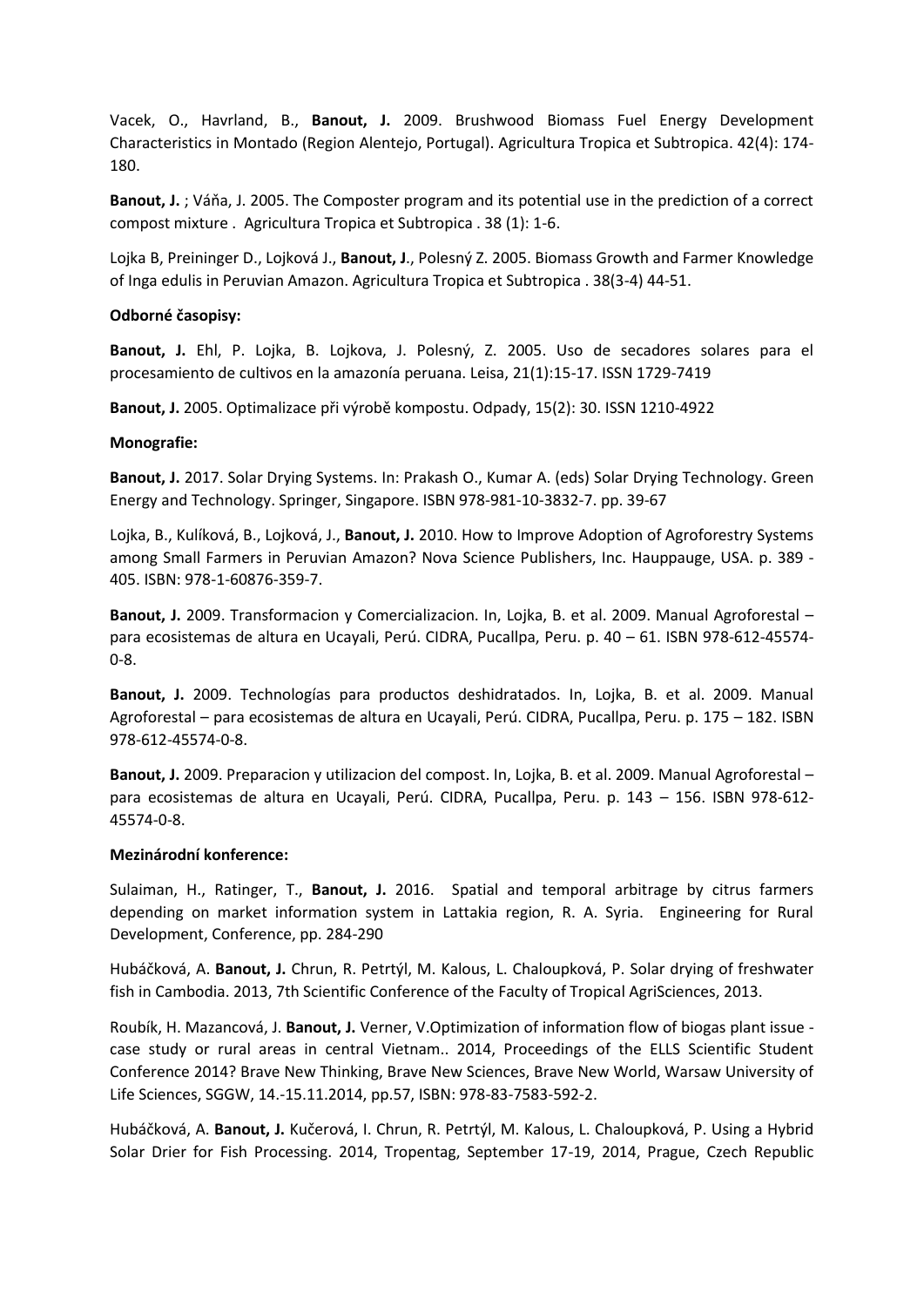Vacek, O., Havrland, B., **Banout, J.** 2009. Brushwood Biomass Fuel Energy Development Characteristics in Montado (Region Alentejo, Portugal). Agricultura Tropica et Subtropica. 42(4): 174- 180.

**Banout, J.** ; Váňa, J. 2005. The Composter program and its potential use in the prediction of a correct compost mixture . Agricultura Tropica et Subtropica . 38 (1): 1-6.

Lojka B, Preininger D., Lojková J., **Banout, J**., Polesný Z. 2005. Biomass Growth and Farmer Knowledge of Inga edulis in Peruvian Amazon. Agricultura Tropica et Subtropica . 38(3-4) 44-51.

#### **Odborné časopisy:**

**Banout, J.** Ehl, P. Lojka, B. Lojkova, J. Polesný, Z. 2005. Uso de secadores solares para el procesamiento de cultivos en la amazonía peruana. Leisa, 21(1):15-17. ISSN 1729-7419

**Banout, J.** 2005. Optimalizace při výrobě kompostu. Odpady, 15(2): 30. ISSN 1210-4922

#### **Monografie:**

**Banout, J.** 2017. Solar Drying Systems. In: Prakash O., Kumar A. (eds) Solar Drying Technology. Green Energy and Technology. Springer, Singapore. ISBN 978-981-10-3832-7. pp. 39-67

Lojka, B., Kulíková, B., Lojková, J., **Banout, J.** 2010. How to Improve Adoption of Agroforestry Systems among Small Farmers in Peruvian Amazon? Nova Science Publishers, Inc. Hauppauge, USA. p. 389 - 405. ISBN: 978-1-60876-359-7.

**Banout, J.** 2009. Transformacion y Comercializacion. In, Lojka, B. et al. 2009. Manual Agroforestal – para ecosistemas de altura en Ucayali, Perú. CIDRA, Pucallpa, Peru. p. 40 – 61. ISBN 978-612-45574- 0-8.

**Banout, J.** 2009. Technologías para productos deshidratados. In, Lojka, B. et al. 2009. Manual Agroforestal – para ecosistemas de altura en Ucayali, Perú. CIDRA, Pucallpa, Peru. p. 175 – 182. ISBN 978-612-45574-0-8.

**Banout, J.** 2009. Preparacion y utilizacion del compost. In, Lojka, B. et al. 2009. Manual Agroforestal – para ecosistemas de altura en Ucayali, Perú. CIDRA, Pucallpa, Peru. p. 143 – 156. ISBN 978-612- 45574-0-8.

# **Mezinárodní konference:**

Sulaiman, H., Ratinger, T., **Banout, J.** 2016. Spatial and temporal arbitrage by citrus farmers depending on market information system in Lattakia region, R. A. Syria. Engineering for Rural Development, Conference, pp. 284-290

Hubáčková, A. **Banout, J.** Chrun, R. Petrtýl, M. Kalous, L. Chaloupková, P. Solar drying of freshwater fish in Cambodia. 2013, 7th Scientific Conference of the Faculty of Tropical AgriSciences, 2013.

Roubík, H. Mazancová, J. **Banout, J.** Verner, V.Optimization of information flow of biogas plant issue case study or rural areas in central Vietnam.. 2014, Proceedings of the ELLS Scientific Student Conference 2014? Brave New Thinking, Brave New Sciences, Brave New World, Warsaw University of Life Sciences, SGGW, 14.-15.11.2014, pp.57, ISBN: 978-83-7583-592-2.

Hubáčková, A. **Banout, J.** Kučerová, I. Chrun, R. Petrtýl, M. Kalous, L. Chaloupková, P. Using a Hybrid Solar Drier for Fish Processing. 2014, Tropentag, September 17-19, 2014, Prague, Czech Republic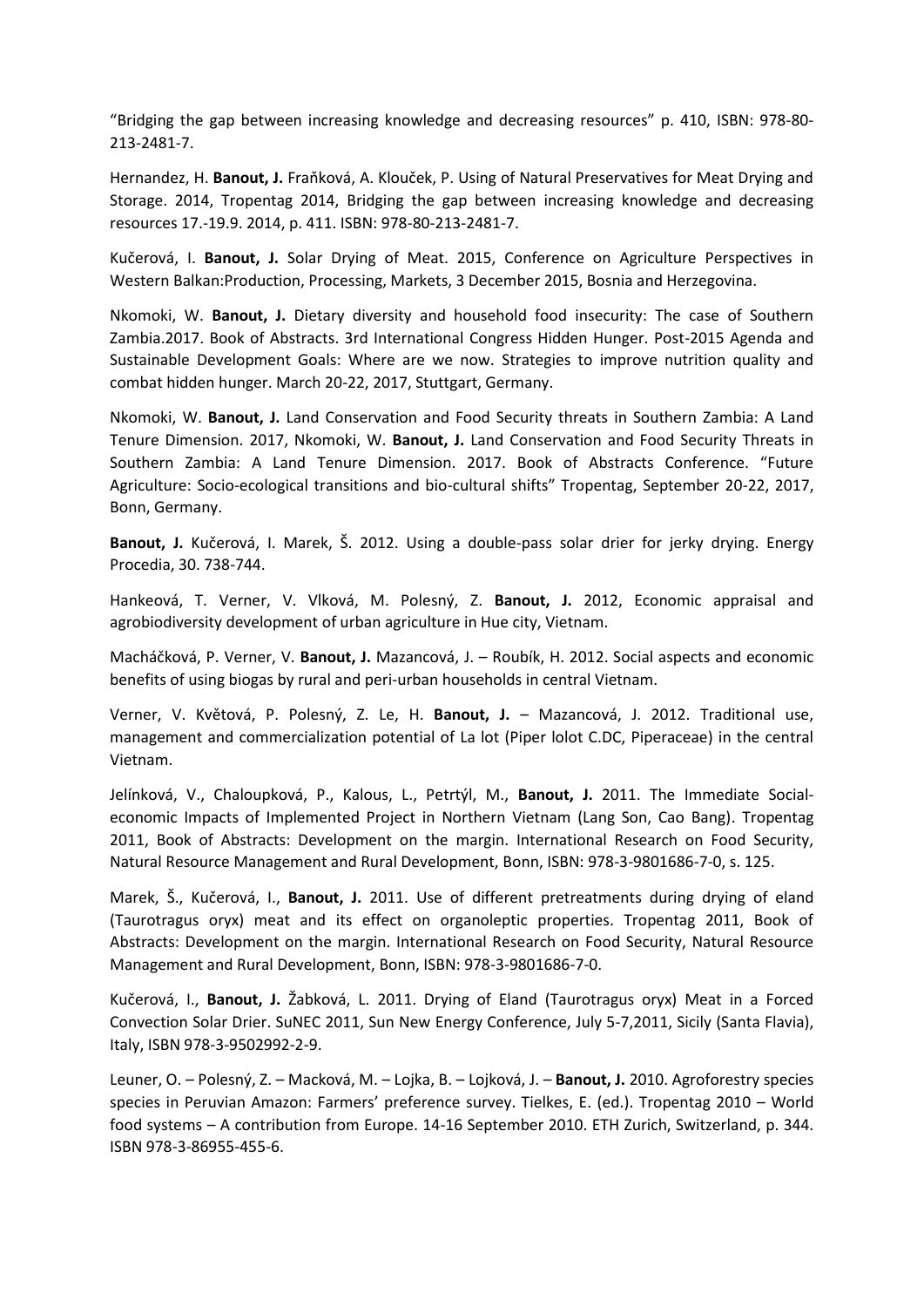"Bridging the gap between increasing knowledge and decreasing resources" p. 410, ISBN: 978-80- 213-2481-7.

Hernandez, H. **Banout, J.** Fraňková, A. Klouček, P. Using of Natural Preservatives for Meat Drying and Storage. 2014, Tropentag 2014, Bridging the gap between increasing knowledge and decreasing resources 17.-19.9. 2014, p. 411. ISBN: 978-80-213-2481-7.

Kučerová, I. **Banout, J.** Solar Drying of Meat. 2015, Conference on Agriculture Perspectives in Western Balkan:Production, Processing, Markets, 3 December 2015, Bosnia and Herzegovina.

Nkomoki, W. **Banout, J.** Dietary diversity and household food insecurity: The case of Southern Zambia.2017. Book of Abstracts. 3rd International Congress Hidden Hunger. Post-2015 Agenda and Sustainable Development Goals: Where are we now. Strategies to improve nutrition quality and combat hidden hunger. March 20-22, 2017, Stuttgart, Germany.

Nkomoki, W. **Banout, J.** Land Conservation and Food Security threats in Southern Zambia: A Land Tenure Dimension. 2017, Nkomoki, W. **Banout, J.** Land Conservation and Food Security Threats in Southern Zambia: A Land Tenure Dimension. 2017. Book of Abstracts Conference. "Future Agriculture: Socio-ecological transitions and bio-cultural shifts" Tropentag, September 20-22, 2017, Bonn, Germany.

**Banout, J.** Kučerová, I. Marek, Š. 2012. Using a double-pass solar drier for jerky drying. Energy Procedia, 30. 738-744.

Hankeová, T. Verner, V. Vlková, M. Polesný, Z. **Banout, J.** 2012, Economic appraisal and agrobiodiversity development of urban agriculture in Hue city, Vietnam.

Macháčková, P. Verner, V. **Banout, J.** Mazancová, J. – Roubík, H. 2012. Social aspects and economic benefits of using biogas by rural and peri-urban households in central Vietnam.

Verner, V. Květová, P. Polesný, Z. Le, H. **Banout, J.** – Mazancová, J. 2012. Traditional use, management and commercialization potential of La lot (Piper lolot C.DC, Piperaceae) in the central Vietnam.

Jelínková, V., Chaloupková, P., Kalous, L., Petrtýl, M., **Banout, J.** 2011. The Immediate Socialeconomic Impacts of Implemented Project in Northern Vietnam (Lang Son, Cao Bang). Tropentag 2011, Book of Abstracts: Development on the margin. International Research on Food Security, Natural Resource Management and Rural Development, Bonn, ISBN: 978-3-9801686-7-0, s. 125.

Marek, Š., Kučerová, I., **Banout, J.** 2011. Use of different pretreatments during drying of eland (Taurotragus oryx) meat and its effect on organoleptic properties. Tropentag 2011, Book of Abstracts: Development on the margin. International Research on Food Security, Natural Resource Management and Rural Development, Bonn, ISBN: 978-3-9801686-7-0.

Kučerová, I., **Banout, J.** Žabková, L. 2011. Drying of Eland (Taurotragus oryx) Meat in a Forced Convection Solar Drier. SuNEC 2011, Sun New Energy Conference, July 5-7,2011, Sicily (Santa Flavia), Italy, ISBN 978-3-9502992-2-9.

Leuner, O. – Polesný, Z. – Macková, M. – Lojka, B. – Lojková, J. – **Banout, J.** 2010. Agroforestry species species in Peruvian Amazon: Farmers' preference survey. Tielkes, E. (ed.). Tropentag 2010 – World food systems – A contribution from Europe. 14-16 September 2010. ETH Zurich, Switzerland, p. 344. ISBN 978-3-86955-455-6.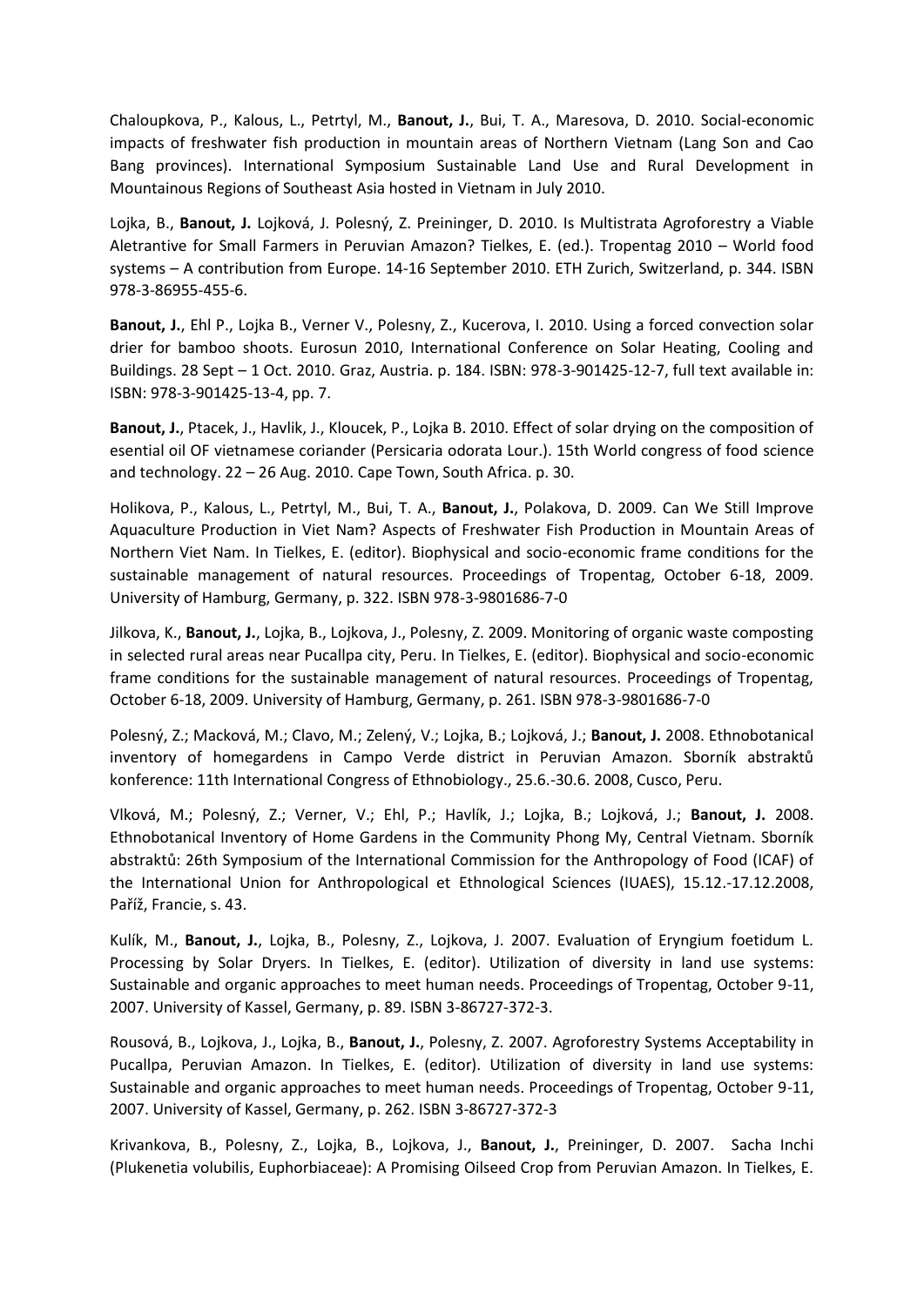Chaloupkova, P., Kalous, L., Petrtyl, M., **Banout, J.**, Bui, T. A., Maresova, D. 2010. Social-economic impacts of freshwater fish production in mountain areas of Northern Vietnam (Lang Son and Cao Bang provinces). International Symposium Sustainable Land Use and Rural Development in Mountainous Regions of Southeast Asia hosted in Vietnam in July 2010.

Lojka, B., **Banout, J.** Lojková, J. Polesný, Z. Preininger, D. 2010. Is Multistrata Agroforestry a Viable Aletrantive for Small Farmers in Peruvian Amazon? Tielkes, E. (ed.). Tropentag 2010 – World food systems – A contribution from Europe. 14-16 September 2010. ETH Zurich, Switzerland, p. 344. ISBN 978-3-86955-455-6.

**Banout, J.**, Ehl P., Lojka B., Verner V., Polesny, Z., Kucerova, I. 2010. Using a forced convection solar drier for bamboo shoots. Eurosun 2010, International Conference on Solar Heating, Cooling and Buildings. 28 Sept – 1 Oct. 2010. Graz, Austria. p. 184. ISBN: 978-3-901425-12-7, full text available in: ISBN: 978-3-901425-13-4, pp. 7.

**Banout, J.**, Ptacek, J., Havlik, J., Kloucek, P., Lojka B. 2010. Effect of solar drying on the composition of esential oil OF vietnamese coriander (Persicaria odorata Lour.). 15th World congress of food science and technology. 22 – 26 Aug. 2010. Cape Town, South Africa. p. 30.

Holikova, P., Kalous, L., Petrtyl, M., Bui, T. A., **Banout, J.**, Polakova, D. 2009. Can We Still Improve Aquaculture Production in Viet Nam? Aspects of Freshwater Fish Production in Mountain Areas of Northern Viet Nam. In Tielkes, E. (editor). Biophysical and socio-economic frame conditions for the sustainable management of natural resources. Proceedings of Tropentag, October 6-18, 2009. University of Hamburg, Germany, p. 322. ISBN 978-3-9801686-7-0

Jilkova, K., **Banout, J.**, Lojka, B., Lojkova, J., Polesny, Z. 2009. Monitoring of organic waste composting in selected rural areas near Pucallpa city, Peru. In Tielkes, E. (editor). Biophysical and socio-economic frame conditions for the sustainable management of natural resources. Proceedings of Tropentag, October 6-18, 2009. University of Hamburg, Germany, p. 261. ISBN 978-3-9801686-7-0

Polesný, Z.; Macková, M.; Clavo, M.; Zelený, V.; Lojka, B.; Lojková, J.; **Banout, J.** 2008. Ethnobotanical inventory of homegardens in Campo Verde district in Peruvian Amazon. Sborník abstraktů konference: 11th International Congress of Ethnobiology., 25.6.-30.6. 2008, Cusco, Peru.

Vlková, M.; Polesný, Z.; Verner, V.; Ehl, P.; Havlík, J.; Lojka, B.; Lojková, J.; **Banout, J.** 2008. Ethnobotanical Inventory of Home Gardens in the Community Phong My, Central Vietnam. Sborník abstraktů: 26th Symposium of the International Commission for the Anthropology of Food (ICAF) of the International Union for Anthropological et Ethnological Sciences (IUAES), 15.12.-17.12.2008, Paříž, Francie, s. 43.

Kulík, M., **Banout, J.**, Lojka, B., Polesny, Z., Lojkova, J. 2007. Evaluation of Eryngium foetidum L. Processing by Solar Dryers. In Tielkes, E. (editor). Utilization of diversity in land use systems: Sustainable and organic approaches to meet human needs. Proceedings of Tropentag, October 9-11, 2007. University of Kassel, Germany, p. 89. ISBN 3-86727-372-3.

Rousová, B., Lojkova, J., Lojka, B., **Banout, J.**, Polesny, Z. 2007. Agroforestry Systems Acceptability in Pucallpa, Peruvian Amazon. In Tielkes, E. (editor). Utilization of diversity in land use systems: Sustainable and organic approaches to meet human needs. Proceedings of Tropentag, October 9-11, 2007. University of Kassel, Germany, p. 262. ISBN 3-86727-372-3

Krivankova, B., Polesny, Z., Lojka, B., Lojkova, J., **Banout, J.**, Preininger, D. 2007. Sacha Inchi (Plukenetia volubilis, Euphorbiaceae): A Promising Oilseed Crop from Peruvian Amazon. In Tielkes, E.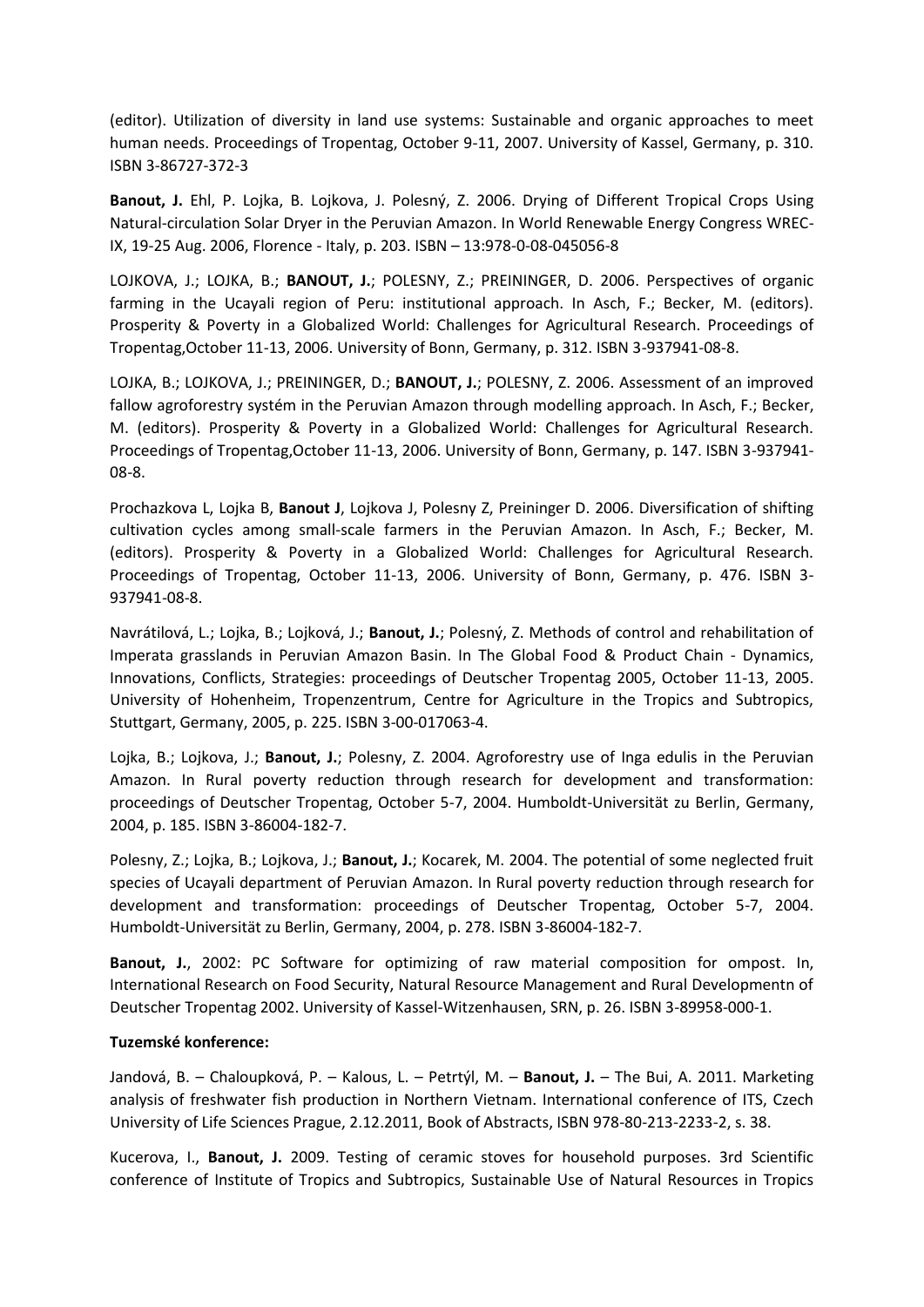(editor). Utilization of diversity in land use systems: Sustainable and organic approaches to meet human needs. Proceedings of Tropentag, October 9-11, 2007. University of Kassel, Germany, p. 310. ISBN 3-86727-372-3

**Banout, J.** Ehl, P. Lojka, B. Lojkova, J. Polesný, Z. 2006. Drying of Different Tropical Crops Using Natural-circulation Solar Dryer in the Peruvian Amazon. In World Renewable Energy Congress WREC-IX, 19-25 Aug. 2006, Florence - Italy, p. 203. ISBN – 13:978-0-08-045056-8

LOJKOVA, J.; LOJKA, B.; **BANOUT, J.**; POLESNY, Z.; PREININGER, D. 2006. Perspectives of organic farming in the Ucayali region of Peru: institutional approach. In Asch, F.; Becker, M. (editors). Prosperity & Poverty in a Globalized World: Challenges for Agricultural Research. Proceedings of Tropentag,October 11-13, 2006. University of Bonn, Germany, p. 312. ISBN 3-937941-08-8.

LOJKA, B.; LOJKOVA, J.; PREININGER, D.; **BANOUT, J.**; POLESNY, Z. 2006. Assessment of an improved fallow agroforestry systém in the Peruvian Amazon through modelling approach. In Asch, F.; Becker, M. (editors). Prosperity & Poverty in a Globalized World: Challenges for Agricultural Research. Proceedings of Tropentag,October 11-13, 2006. University of Bonn, Germany, p. 147. ISBN 3-937941- 08-8.

Prochazkova L, Lojka B, **Banout J**, Lojkova J, Polesny Z, Preininger D. 2006. Diversification of shifting cultivation cycles among small-scale farmers in the Peruvian Amazon. In Asch, F.; Becker, M. (editors). Prosperity & Poverty in a Globalized World: Challenges for Agricultural Research. Proceedings of Tropentag, October 11-13, 2006. University of Bonn, Germany, p. 476. ISBN 3- 937941-08-8.

Navrátilová, L.; Lojka, B.; Lojková, J.; **Banout, J.**; Polesný, Z. Methods of control and rehabilitation of Imperata grasslands in Peruvian Amazon Basin. In The Global Food & Product Chain - Dynamics, Innovations, Conflicts, Strategies: proceedings of Deutscher Tropentag 2005, October 11-13, 2005. University of Hohenheim, Tropenzentrum, Centre for Agriculture in the Tropics and Subtropics, Stuttgart, Germany, 2005, p. 225. ISBN 3-00-017063-4.

Lojka, B.; Lojkova, J.; **Banout, J.**; Polesny, Z. 2004. Agroforestry use of Inga edulis in the Peruvian Amazon. In Rural poverty reduction through research for development and transformation: proceedings of Deutscher Tropentag, October 5-7, 2004. Humboldt-Universität zu Berlin, Germany, 2004, p. 185. ISBN 3-86004-182-7.

Polesny, Z.; Lojka, B.; Lojkova, J.; **Banout, J.**; Kocarek, M. 2004. The potential of some neglected fruit species of Ucayali department of Peruvian Amazon. In Rural poverty reduction through research for development and transformation: proceedings of Deutscher Tropentag, October 5-7, 2004. Humboldt-Universität zu Berlin, Germany, 2004, p. 278. ISBN 3-86004-182-7.

**Banout, J.**, 2002: PC Software for optimizing of raw material composition for ompost. In, International Research on Food Security, Natural Resource Management and Rural Developmentn of Deutscher Tropentag 2002. University of Kassel-Witzenhausen, SRN, p. 26. ISBN 3-89958-000-1.

# **Tuzemské konference:**

Jandová, B. – Chaloupková, P. – Kalous, L. – Petrtýl, M. – **Banout, J.** – The Bui, A. 2011. Marketing analysis of freshwater fish production in Northern Vietnam. International conference of ITS, Czech University of Life Sciences Prague, 2.12.2011, Book of Abstracts, ISBN 978-80-213-2233-2, s. 38.

Kucerova, I., **Banout, J.** 2009. Testing of ceramic stoves for household purposes. 3rd Scientific conference of Institute of Tropics and Subtropics, Sustainable Use of Natural Resources in Tropics